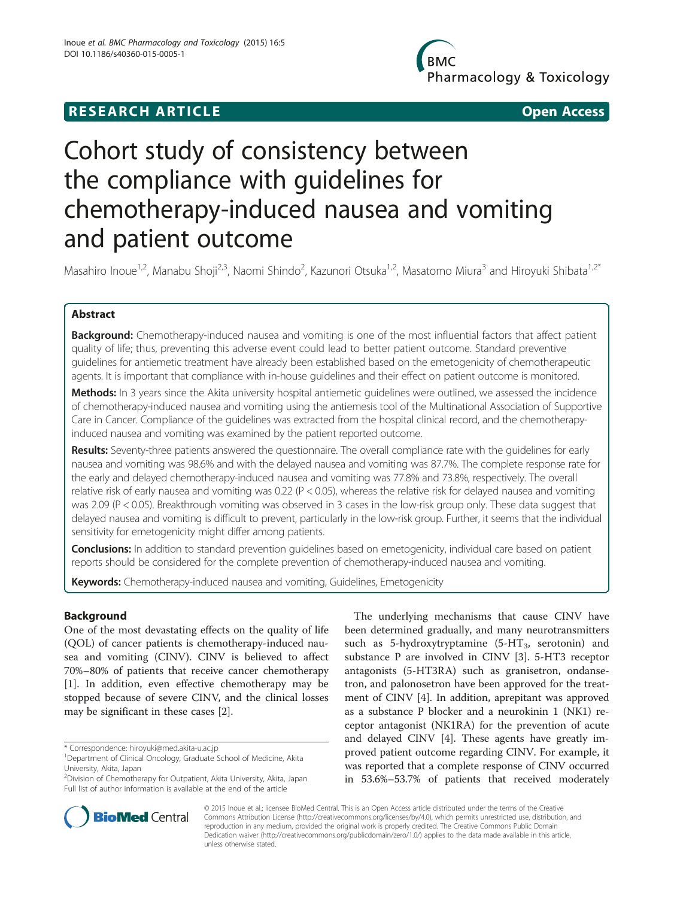## **RESEARCH ARTICLE Example 2014 12:30 The SEAR CH ACCESS**

**BMC** Pharmacology & Toxicology

# Cohort study of consistency between the compliance with guidelines for chemotherapy-induced nausea and vomiting and patient outcome

Masahiro Inoue<sup>1,2</sup>, Manabu Shoji<sup>2,3</sup>, Naomi Shindo<sup>2</sup>, Kazunori Otsuka<sup>1,2</sup>, Masatomo Miura<sup>3</sup> and Hiroyuki Shibata<sup>1,2\*</sup>

### Abstract

Background: Chemotherapy-induced nausea and vomiting is one of the most influential factors that affect patient quality of life; thus, preventing this adverse event could lead to better patient outcome. Standard preventive guidelines for antiemetic treatment have already been established based on the emetogenicity of chemotherapeutic agents. It is important that compliance with in-house guidelines and their effect on patient outcome is monitored.

Methods: In 3 years since the Akita university hospital antiemetic guidelines were outlined, we assessed the incidence of chemotherapy-induced nausea and vomiting using the antiemesis tool of the Multinational Association of Supportive Care in Cancer. Compliance of the guidelines was extracted from the hospital clinical record, and the chemotherapyinduced nausea and vomiting was examined by the patient reported outcome.

Results: Seventy-three patients answered the questionnaire. The overall compliance rate with the guidelines for early nausea and vomiting was 98.6% and with the delayed nausea and vomiting was 87.7%. The complete response rate for the early and delayed chemotherapy-induced nausea and vomiting was 77.8% and 73.8%, respectively. The overall relative risk of early nausea and vomiting was 0.22 (P < 0.05), whereas the relative risk for delayed nausea and vomiting was 2.09 (P < 0.05). Breakthrough vomiting was observed in 3 cases in the low-risk group only. These data suggest that delayed nausea and vomiting is difficult to prevent, particularly in the low-risk group. Further, it seems that the individual sensitivity for emetogenicity might differ among patients.

Conclusions: In addition to standard prevention guidelines based on emetogenicity, individual care based on patient reports should be considered for the complete prevention of chemotherapy-induced nausea and vomiting.

Keywords: Chemotherapy-induced nausea and vomiting, Guidelines, Emetogenicity

### Background

One of the most devastating effects on the quality of life (QOL) of cancer patients is chemotherapy-induced nausea and vomiting (CINV). CINV is believed to affect 70%–80% of patients that receive cancer chemotherapy [[1\]](#page-5-0). In addition, even effective chemotherapy may be stopped because of severe CINV, and the clinical losses may be significant in these cases [[2\]](#page-5-0).

The underlying mechanisms that cause CINV have been determined gradually, and many neurotransmitters such as 5-hydroxytryptamine  $(5-HT<sub>3</sub>,$  serotonin) and substance P are involved in CINV [\[3\]](#page-5-0). 5-HT3 receptor antagonists (5-HT3RA) such as granisetron, ondansetron, and palonosetron have been approved for the treatment of CINV [[4\]](#page-5-0). In addition, aprepitant was approved as a substance P blocker and a neurokinin 1 (NK1) receptor antagonist (NK1RA) for the prevention of acute and delayed CINV [[4\]](#page-5-0). These agents have greatly improved patient outcome regarding CINV. For example, it was reported that a complete response of CINV occurred in 53.6%–53.7% of patients that received moderately



© 2015 Inoue et al.; licensee BioMed Central. This is an Open Access article distributed under the terms of the Creative Commons Attribution License [\(http://creativecommons.org/licenses/by/4.0\)](http://creativecommons.org/licenses/by/4.0), which permits unrestricted use, distribution, and reproduction in any medium, provided the original work is properly credited. The Creative Commons Public Domain Dedication waiver [\(http://creativecommons.org/publicdomain/zero/1.0/](http://creativecommons.org/publicdomain/zero/1.0/)) applies to the data made available in this article, unless otherwise stated.

<sup>\*</sup> Correspondence: [hiroyuki@med.akita-u.ac.jp](mailto:hiroyuki@med.akita-u.ac.jp) <sup>1</sup>

Department of Clinical Oncology, Graduate School of Medicine, Akita University, Akita, Japan

<sup>2</sup> Division of Chemotherapy for Outpatient, Akita University, Akita, Japan Full list of author information is available at the end of the article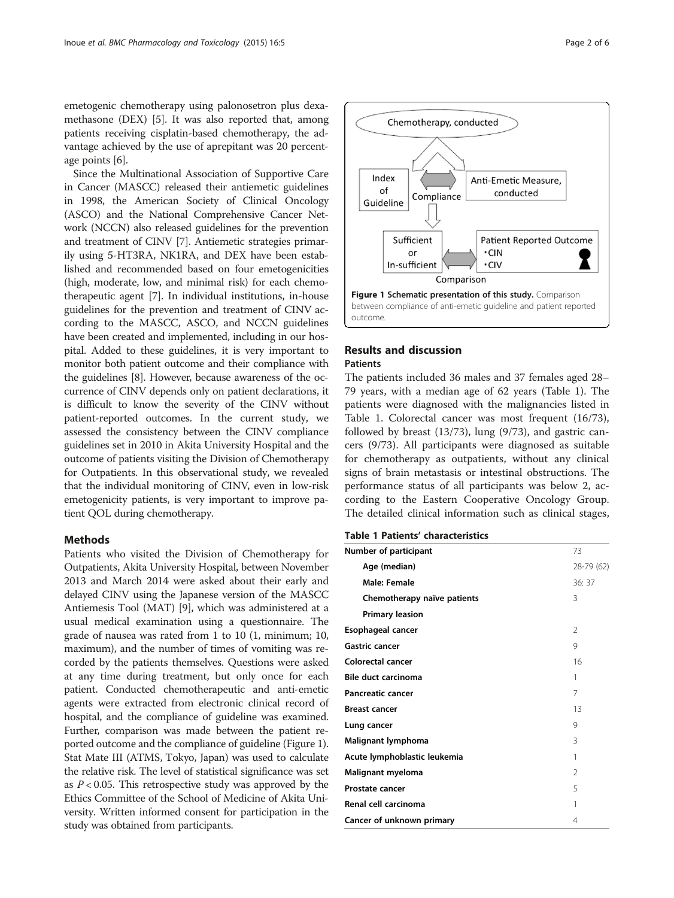emetogenic chemotherapy using palonosetron plus dexamethasone (DEX) [[5](#page-5-0)]. It was also reported that, among patients receiving cisplatin-based chemotherapy, the advantage achieved by the use of aprepitant was 20 percentage points [\[6](#page-5-0)].

Since the Multinational Association of Supportive Care in Cancer (MASCC) released their antiemetic guidelines in 1998, the American Society of Clinical Oncology (ASCO) and the National Comprehensive Cancer Network (NCCN) also released guidelines for the prevention and treatment of CINV [[7\]](#page-5-0). Antiemetic strategies primarily using 5-HT3RA, NK1RA, and DEX have been established and recommended based on four emetogenicities (high, moderate, low, and minimal risk) for each chemotherapeutic agent [\[7](#page-5-0)]. In individual institutions, in-house guidelines for the prevention and treatment of CINV according to the MASCC, ASCO, and NCCN guidelines have been created and implemented, including in our hospital. Added to these guidelines, it is very important to monitor both patient outcome and their compliance with the guidelines [[8\]](#page-5-0). However, because awareness of the occurrence of CINV depends only on patient declarations, it is difficult to know the severity of the CINV without patient-reported outcomes. In the current study, we assessed the consistency between the CINV compliance guidelines set in 2010 in Akita University Hospital and the outcome of patients visiting the Division of Chemotherapy for Outpatients. In this observational study, we revealed that the individual monitoring of CINV, even in low-risk emetogenicity patients, is very important to improve patient QOL during chemotherapy.

### Methods

Patients who visited the Division of Chemotherapy for Outpatients, Akita University Hospital, between November 2013 and March 2014 were asked about their early and delayed CINV using the Japanese version of the MASCC Antiemesis Tool (MAT) [\[9\]](#page-5-0), which was administered at a usual medical examination using a questionnaire. The grade of nausea was rated from 1 to 10 (1, minimum; 10, maximum), and the number of times of vomiting was recorded by the patients themselves. Questions were asked at any time during treatment, but only once for each patient. Conducted chemotherapeutic and anti-emetic agents were extracted from electronic clinical record of hospital, and the compliance of guideline was examined. Further, comparison was made between the patient reported outcome and the compliance of guideline (Figure 1). Stat Mate III (ATMS, Tokyo, Japan) was used to calculate the relative risk. The level of statistical significance was set as  $P < 0.05$ . This retrospective study was approved by the Ethics Committee of the School of Medicine of Akita University. Written informed consent for participation in the study was obtained from participants.



### Results and discussion **Patients**

The patients included 36 males and 37 females aged 28– 79 years, with a median age of 62 years (Table 1). The patients were diagnosed with the malignancies listed in Table 1. Colorectal cancer was most frequent (16/73), followed by breast (13/73), lung (9/73), and gastric cancers (9/73). All participants were diagnosed as suitable for chemotherapy as outpatients, without any clinical signs of brain metastasis or intestinal obstructions. The performance status of all participants was below 2, according to the Eastern Cooperative Oncology Group. The detailed clinical information such as clinical stages,

| Number of participant        | 73             |
|------------------------------|----------------|
| Age (median)                 | 28-79 (62)     |
| Male: Female                 | 36:37          |
| Chemotherapy naïve patients  | 3              |
| <b>Primary leasion</b>       |                |
| Esophageal cancer            | $\mathfrak{D}$ |
| <b>Gastric cancer</b>        | 9              |
| Colorectal cancer            | 16             |
| <b>Bile duct carcinoma</b>   | 1              |
| <b>Pancreatic cancer</b>     | 7              |
| <b>Breast cancer</b>         | 13             |
| Lung cancer                  | 9              |
| Malignant lymphoma           | 3              |
| Acute lymphoblastic leukemia | 1              |
| Malignant myeloma            | $\mathfrak{D}$ |
| Prostate cancer              | 5              |
| Renal cell carcinoma         | 1              |
| Cancer of unknown primary    | 4              |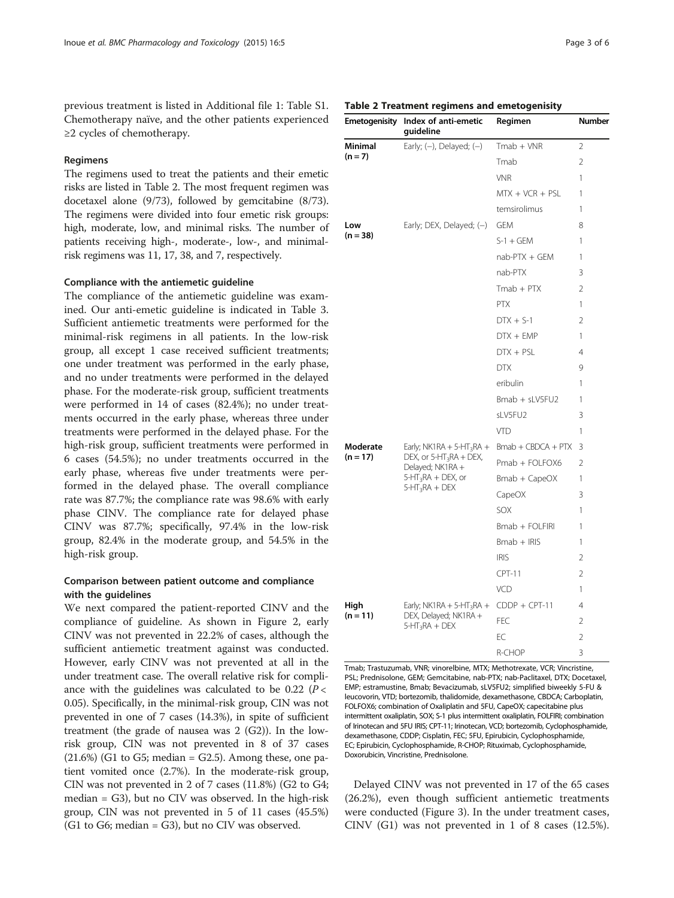previous treatment is listed in Additional file [1](#page-4-0): Table S1. Chemotherapy naïve, and the other patients experienced ≥2 cycles of chemotherapy.

#### Regimens

The regimens used to treat the patients and their emetic risks are listed in Table 2. The most frequent regimen was docetaxel alone (9/73), followed by gemcitabine (8/73). The regimens were divided into four emetic risk groups: high, moderate, low, and minimal risks. The number of patients receiving high-, moderate-, low-, and minimalrisk regimens was 11, 17, 38, and 7, respectively.

#### Compliance with the antiemetic guideline

The compliance of the antiemetic guideline was examined. Our anti-emetic guideline is indicated in Table [3](#page-3-0). Sufficient antiemetic treatments were performed for the minimal-risk regimens in all patients. In the low-risk group, all except 1 case received sufficient treatments; one under treatment was performed in the early phase, and no under treatments were performed in the delayed phase. For the moderate-risk group, sufficient treatments were performed in 14 of cases (82.4%); no under treatments occurred in the early phase, whereas three under treatments were performed in the delayed phase. For the high-risk group, sufficient treatments were performed in 6 cases (54.5%); no under treatments occurred in the early phase, whereas five under treatments were performed in the delayed phase. The overall compliance rate was 87.7%; the compliance rate was 98.6% with early phase CINV. The compliance rate for delayed phase CINV was 87.7%; specifically, 97.4% in the low-risk group, 82.4% in the moderate group, and 54.5% in the high-risk group.

### Comparison between patient outcome and compliance with the guidelines

We next compared the patient-reported CINV and the compliance of guideline. As shown in Figure [2,](#page-3-0) early CINV was not prevented in 22.2% of cases, although the sufficient antiemetic treatment against was conducted. However, early CINV was not prevented at all in the under treatment case. The overall relative risk for compliance with the guidelines was calculated to be 0.22  $(P \lt \mathcal{C})$ 0.05). Specifically, in the minimal-risk group, CIN was not prevented in one of 7 cases (14.3%), in spite of sufficient treatment (the grade of nausea was 2 (G2)). In the lowrisk group, CIN was not prevented in 8 of 37 cases  $(21.6%)$  (G1 to G5; median = G2.5). Among these, one patient vomited once (2.7%). In the moderate-risk group, CIN was not prevented in 2 of 7 cases (11.8%) (G2 to G4; median = G3), but no CIV was observed. In the high-risk group, CIN was not prevented in 5 of 11 cases (45.5%) (G1 to G6; median = G3), but no CIV was observed.

#### Table 2 Treatment regimens and emetogenisity

| Emetogenisity        | Index of anti-emetic<br>guideline                                                                                                    | Regimen              | <b>Number</b>  |
|----------------------|--------------------------------------------------------------------------------------------------------------------------------------|----------------------|----------------|
| Minimal<br>$(n = 7)$ | Early; $(-)$ , Delayed; $(-)$                                                                                                        | $Tmab + VNR$         | 2              |
|                      |                                                                                                                                      | Tmab                 | $\overline{2}$ |
|                      |                                                                                                                                      | <b>VNR</b>           | 1              |
|                      |                                                                                                                                      | $MTX + VCR + PSL$    | 1              |
|                      |                                                                                                                                      | temsirolimus         | 1              |
| Low                  | Early; DEX, Delayed; (-)                                                                                                             | <b>GEM</b>           | 8              |
| $(n = 38)$           |                                                                                                                                      | $S-1 + GEM$          | 1              |
|                      |                                                                                                                                      | $nab-PTX + GEM$      | 1              |
|                      |                                                                                                                                      | nab-PTX              | 3              |
|                      |                                                                                                                                      | $Tmab + PTX$         | 2              |
|                      |                                                                                                                                      | <b>PTX</b>           | 1              |
|                      |                                                                                                                                      | $DTX + S-1$          | 2              |
|                      |                                                                                                                                      | $DTX + EMP$          | 1              |
|                      |                                                                                                                                      | $DTX + PSL$          | 4              |
|                      |                                                                                                                                      | <b>DTX</b>           | 9              |
|                      |                                                                                                                                      | eribulin             | 1              |
|                      |                                                                                                                                      | Bmab + sLV5FU2       | 1              |
|                      |                                                                                                                                      | sLV5FU2              | 3              |
|                      |                                                                                                                                      | VTD                  | 1              |
| Moderate             | Early; NK1RA + 5-HT <sub>3</sub> RA +<br>DEX, or $5-HT_3RA + DEX$ ,<br>Delayed; NK1RA +<br>$5-HT_3RA + DEX$ , or<br>$5-HT_3RA + DEX$ | $Bmab + CBDCA + PTX$ | 3              |
| $(n = 17)$           |                                                                                                                                      | Pmab + FOLFOX6       | 2              |
|                      |                                                                                                                                      | $Bmab + CapeOX$      | 1              |
|                      |                                                                                                                                      | CapeOX               | 3              |
|                      |                                                                                                                                      | SOX                  | 1              |
|                      |                                                                                                                                      | Bmab + FOLFIRI       | 1              |
|                      |                                                                                                                                      | $Bmab + IRIS$        | 1              |
|                      |                                                                                                                                      | <b>IRIS</b>          | 2              |
|                      |                                                                                                                                      | <b>CPT-11</b>        | $\mathfrak{D}$ |
|                      |                                                                                                                                      | VCD                  | 1              |
| High<br>$(n = 11)$   | Early; NK1RA + 5-HT <sub>3</sub> RA +                                                                                                | $CDDP + CPT-11$      | 4              |
|                      | DEX, Delayed; NK1RA +<br>$5-HT_3RA + DEX$                                                                                            | <b>FEC</b>           | 2              |
|                      |                                                                                                                                      | EC                   | 2              |
|                      |                                                                                                                                      | R-CHOP               | 3              |

Tmab; Trastuzumab, VNR; vinorelbine, MTX; Methotrexate, VCR; Vincristine, PSL; Prednisolone, GEM; Gemcitabine, nab-PTX; nab-Paclitaxel, DTX; Docetaxel, EMP; estramustine, Bmab; Bevacizumab, sLV5FU2; simplified biweekly 5-FU & leucovorin, VTD; bortezomib, thalidomide, dexamethasone, CBDCA; Carboplatin, FOLFOX6; combination of Oxaliplatin and 5FU, CapeOX; capecitabine plus intermittent oxaliplatin, SOX; S-1 plus intermittent oxaliplatin, FOLFIRI; combination of Irinotecan and 5FU IRIS; CPT-11; Irinotecan, VCD; bortezomib, Cyclophosphamide, dexamethasone, CDDP; Cisplatin, FEC; 5FU, Epirubicin, Cyclophosphamide, EC; Epirubicin, Cyclophosphamide, R-CHOP; Rituximab, Cyclophosphamide, Doxorubicin, Vincristine, Prednisolone.

Delayed CINV was not prevented in 17 of the 65 cases (26.2%), even though sufficient antiemetic treatments were conducted (Figure [3\)](#page-3-0). In the under treatment cases, CINV (G1) was not prevented in 1 of 8 cases (12.5%).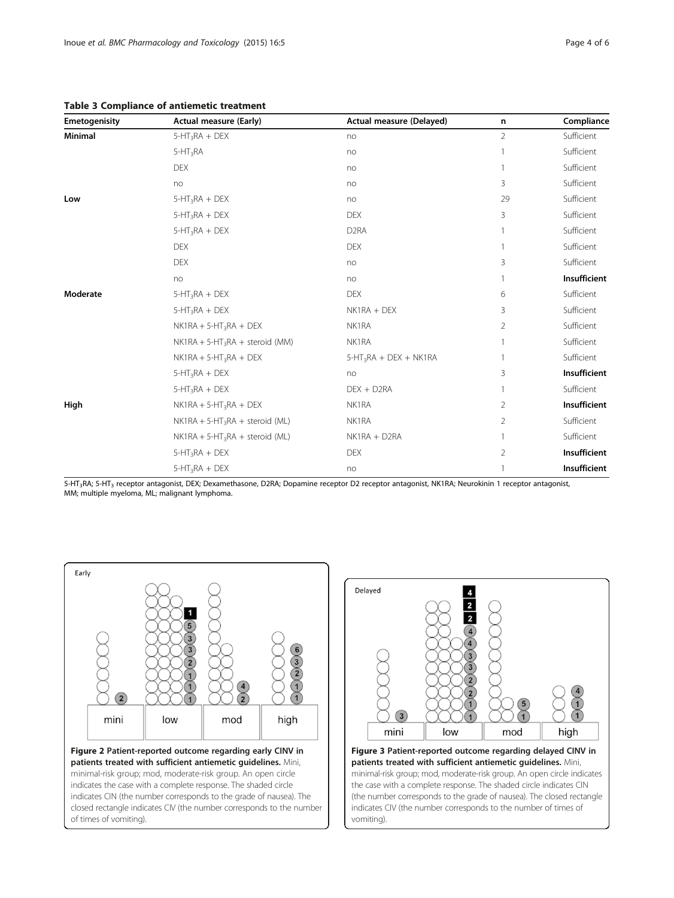<span id="page-3-0"></span>Table 3 Compliance of antiemetic treatment

| Emetogenisity | <b>Actual measure (Early)</b>     | Actual measure (Delayed) | n              | Compliance   |
|---------------|-----------------------------------|--------------------------|----------------|--------------|
| Minimal       | $5-HT_3RA + DEX$                  | no                       | $\overline{2}$ | Sufficient   |
|               | $5-HT_3RA$                        | no                       |                | Sufficient   |
|               | <b>DEX</b>                        | no                       |                | Sufficient   |
|               | no                                | no                       | 3              | Sufficient   |
| Low           | $5-HT_3RA + DEX$                  | no                       | 29             | Sufficient   |
|               | $5-HT_3RA + DEX$                  | <b>DEX</b>               | 3              | Sufficient   |
|               | $5-HT_3RA + DEX$                  | D <sub>2</sub> RA        |                | Sufficient   |
|               | <b>DEX</b>                        | <b>DEX</b>               |                | Sufficient   |
|               | <b>DEX</b>                        | no                       | 3              | Sufficient   |
|               | no                                | no                       |                | Insufficient |
| Moderate      | $5-HT_3RA + DEX$                  | <b>DEX</b>               | 6              | Sufficient   |
|               | $5-HT_3RA + DEX$                  | NK1RA + DEX              | 3              | Sufficient   |
|               | $NK1RA + 5-HT_3RA + DEX$          | NK1RA                    | $\overline{2}$ | Sufficient   |
|               | $NK1RA + 5-HT_3RA + steroid (MM)$ | NK1RA                    |                | Sufficient   |
|               | $NK1RA + 5-HT_3RA + DEX$          | $5-HT_3RA + DEX + NK1RA$ |                | Sufficient   |
|               | $5-HT_3RA + DEX$                  | no                       | 3              | Insufficient |
|               | $5-HT_3RA + DEX$                  | DEX + D2RA               | 1              | Sufficient   |
| High          | $NK1RA + 5-HT_3RA + DEX$          | NK1RA                    | 2              | Insufficient |
|               | $NK1RA + 5-HT_3RA + steroid (ML)$ | NK1RA                    | 2              | Sufficient   |
|               | $NK1RA + 5-HT_3RA + steroid (ML)$ | NK1RA + D2RA             |                | Sufficient   |
|               | $5-HT_3RA + DEX$                  | <b>DEX</b>               | $\overline{2}$ | Insufficient |
|               | $5-HT_3RA + DEX$                  | no                       |                | Insufficient |

5-HT3RA; 5-HT3 receptor antagonist, DEX; Dexamethasone, D2RA; Dopamine receptor D2 receptor antagonist, NK1RA; Neurokinin 1 receptor antagonist, MM; multiple myeloma, ML; malignant lymphoma.





minimal-risk group; mod, moderate-risk group. An open circle indicates the case with a complete response. The shaded circle indicates CIN (the number corresponds to the grade of nausea). The closed rectangle indicates CIV (the number corresponds to the number of times of vomiting).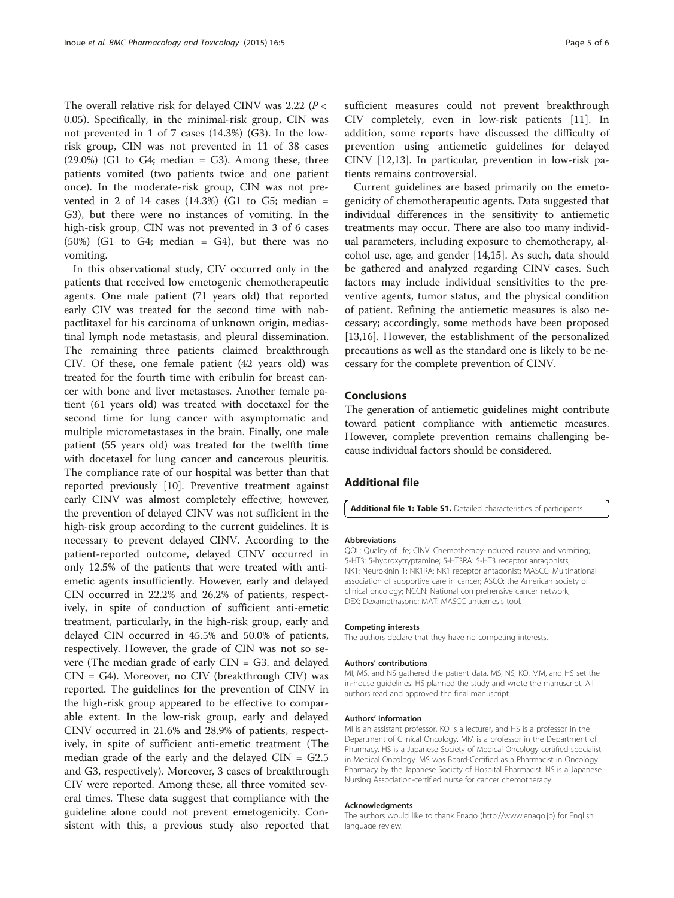<span id="page-4-0"></span>The overall relative risk for delayed CINV was 2.22 ( $P <$ 0.05). Specifically, in the minimal-risk group, CIN was not prevented in 1 of 7 cases (14.3%) (G3). In the lowrisk group, CIN was not prevented in 11 of 38 cases  $(29.0\%)$  (G1 to G4; median = G3). Among these, three patients vomited (two patients twice and one patient once). In the moderate-risk group, CIN was not prevented in 2 of 14 cases  $(14.3%)$  (G1 to G5; median = G3), but there were no instances of vomiting. In the high-risk group, CIN was not prevented in 3 of 6 cases  $(50%)$  (G1 to G4; median = G4), but there was no vomiting.

In this observational study, CIV occurred only in the patients that received low emetogenic chemotherapeutic agents. One male patient (71 years old) that reported early CIV was treated for the second time with nabpactlitaxel for his carcinoma of unknown origin, mediastinal lymph node metastasis, and pleural dissemination. The remaining three patients claimed breakthrough CIV. Of these, one female patient (42 years old) was treated for the fourth time with eribulin for breast cancer with bone and liver metastases. Another female patient (61 years old) was treated with docetaxel for the second time for lung cancer with asymptomatic and multiple micrometastases in the brain. Finally, one male patient (55 years old) was treated for the twelfth time with docetaxel for lung cancer and cancerous pleuritis. The compliance rate of our hospital was better than that reported previously [[10](#page-5-0)]. Preventive treatment against early CINV was almost completely effective; however, the prevention of delayed CINV was not sufficient in the high-risk group according to the current guidelines. It is necessary to prevent delayed CINV. According to the patient-reported outcome, delayed CINV occurred in only 12.5% of the patients that were treated with antiemetic agents insufficiently. However, early and delayed CIN occurred in 22.2% and 26.2% of patients, respectively, in spite of conduction of sufficient anti-emetic treatment, particularly, in the high-risk group, early and delayed CIN occurred in 45.5% and 50.0% of patients, respectively. However, the grade of CIN was not so severe (The median grade of early CIN = G3. and delayed CIN = G4). Moreover, no CIV (breakthrough CIV) was reported. The guidelines for the prevention of CINV in the high-risk group appeared to be effective to comparable extent. In the low-risk group, early and delayed CINV occurred in 21.6% and 28.9% of patients, respectively, in spite of sufficient anti-emetic treatment (The median grade of the early and the delayed  $CIN = G2.5$ and G3, respectively). Moreover, 3 cases of breakthrough CIV were reported. Among these, all three vomited several times. These data suggest that compliance with the guideline alone could not prevent emetogenicity. Consistent with this, a previous study also reported that sufficient measures could not prevent breakthrough CIV completely, even in low-risk patients [\[11](#page-5-0)]. In addition, some reports have discussed the difficulty of prevention using antiemetic guidelines for delayed CINV [[12,13\]](#page-5-0). In particular, prevention in low-risk patients remains controversial.

Current guidelines are based primarily on the emetogenicity of chemotherapeutic agents. Data suggested that individual differences in the sensitivity to antiemetic treatments may occur. There are also too many individual parameters, including exposure to chemotherapy, alcohol use, age, and gender [[14,15](#page-5-0)]. As such, data should be gathered and analyzed regarding CINV cases. Such factors may include individual sensitivities to the preventive agents, tumor status, and the physical condition of patient. Refining the antiemetic measures is also necessary; accordingly, some methods have been proposed [[13,16\]](#page-5-0). However, the establishment of the personalized precautions as well as the standard one is likely to be necessary for the complete prevention of CINV.

#### Conclusions

The generation of antiemetic guidelines might contribute toward patient compliance with antiemetic measures. However, complete prevention remains challenging because individual factors should be considered.

#### Additional file

[Additional file 1: Table S1.](http://www.biomedcentral.com/content/supplementary/s40360-015-0005-1-s1.doc) Detailed characteristics of participants.

#### Abbreviations

QOL: Quality of life; CINV: Chemotherapy-induced nausea and vomiting; 5-HT3: 5-hydroxytryptamine; 5-HT3RA: 5-HT3 receptor antagonists; NK1: Neurokinin 1; NK1RA: NK1 receptor antagonist; MASCC: Multinational association of supportive care in cancer; ASCO: the American society of clinical oncology; NCCN: National comprehensive cancer network; DEX: Dexamethasone; MAT: MASCC antiemesis tool.

#### Competing interests

The authors declare that they have no competing interests.

#### Authors' contributions

MI, MS, and NS gathered the patient data. MS, NS, KO, MM, and HS set the in-house guidelines. HS planned the study and wrote the manuscript. All authors read and approved the final manuscript.

#### Authors' information

MI is an assistant professor, KO is a lecturer, and HS is a professor in the Department of Clinical Oncology. MM is a professor in the Department of Pharmacy. HS is a Japanese Society of Medical Oncology certified specialist in Medical Oncology. MS was Board-Certified as a Pharmacist in Oncology Pharmacy by the Japanese Society of Hospital Pharmacist. NS is a Japanese Nursing Association-certified nurse for cancer chemotherapy.

#### Acknowledgments

The authors would like to thank Enago ([http://www.enago.jp\)](http://www.enago.jp) for English language review.